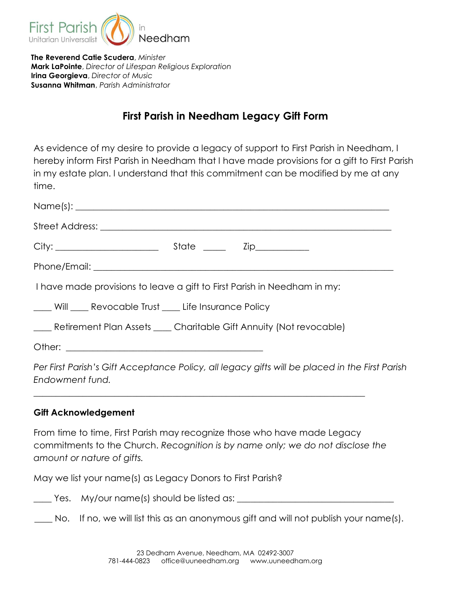

The Reverend Catie Scudera, Minister Mark LaPointe, Director of Lifespan Religious Exploration Irina Georgieva, Director of Music Susanna Whitman, Parish Administrator

# First Parish in Needham Legacy Gift Form

As evidence of my desire to provide a legacy of support to First Parish in Needham, I hereby inform First Parish in Needham that I have made provisions for a gift to First Parish in my estate plan. I understand that this commitment can be modified by me at any time.

| Phone/Email: experience and a series of the series of the series of the series of the series of the series of the series of the series of the series of the series of the series of the series of the series of the series of |
|-------------------------------------------------------------------------------------------------------------------------------------------------------------------------------------------------------------------------------|
| I have made provisions to leave a gift to First Parish in Needham in my:                                                                                                                                                      |
| Will Revocable Trust ____ Life Insurance Policy                                                                                                                                                                               |
| ___ Retirement Plan Assets ___ Charitable Gift Annuity (Not revocable)                                                                                                                                                        |
|                                                                                                                                                                                                                               |
| Per First Parish's Gift Acceptance Policy, all legacy gifts will be placed in the First Parish                                                                                                                                |

Endowment fund. \_\_\_\_\_\_\_\_\_\_\_\_\_\_\_\_\_\_\_\_\_\_\_\_\_\_\_\_\_\_\_\_\_\_\_\_\_\_\_\_\_\_\_\_\_\_\_\_\_\_\_\_\_\_\_\_\_\_\_\_\_\_\_\_\_\_\_\_\_\_\_\_\_\_

## Gift Acknowledgement

From time to time, First Parish may recognize those who have made Legacy commitments to the Church. Recognition is by name only; we do not disclose the amount or nature of gifts.

May we list your name(s) as Legacy Donors to First Parish?

 $\rule{1em}{0.15mm}$  Yes.  $\,$  My/our name(s) should be listed as:  $\rule{1em}{0.15mm}$ 

No. If no, we will list this as an anonymous gift and will not publish your name(s).